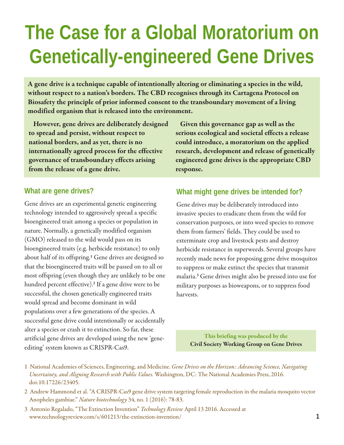# **The Case for a Global Moratorium on Genetically-engineered Gene Drives**

A gene drive is a technique capable of intentionally altering or eliminating a species in the wild, without respect to a nation's borders. The CBD recognises through its Cartagena Protocol on Biosafety the principle of prior informed consent to the transboundary movement of a living modified organism that is released into the environment.

However, gene drives are deliberately designed to spread and persist, without respect to national borders, and as yet, there is no internationally agreed process for the effective governance of transboundary effects arising from the release of a gene drive.

Given this governance gap as well as the serious ecological and societal effects a release could introduce, a moratorium on the applied research, development and release of genetically engineered gene drives is the appropriate CBD response.

#### **What are gene drives?**

Gene drives are an experimental genetic engineering technology intended to aggressively spread a specific bioengineered trait among a species or population in nature. Normally, a genetically modified organism (GMO) released to the wild would pass on its bioengineered traits (e.g. herbicide resistance) to only about half of its offspring.<sup>1</sup> Gene drives are designed so that the bioengineered traits will be passed on to all or most offspring (even though they are unlikely to be one hundred percent effective).<sup>2</sup> If a gene drive were to be successful, the chosen genetically engineered traits would spread and become dominant in wild populations over a few generations of the species. A successful gene drive could intentionally or accidentally alter a species or crash it to extinction. So far, these artificial gene drives are developed using the new 'geneediting' system known as CRISPR-Cas9.

#### **What might gene drives be intended for?**

Gene drives may be deliberately introduced into invasive species to eradicate them from the wild for conservation purposes, or into weed species to remove them from farmers' fields. They could be used to exterminate crop and livestock pests and destroy herbicide resistance in superweeds. Several groups have recently made news for proposing gene drive mosquitos to suppress or make extinct the species that transmit malaria. <sup>3</sup> Gene drives might also be pressed into use for military purposes as bioweapons, or to suppress food harvests.

This briefing was produced by the Civil Society Working Group on Gene Drives

- 1 National Academies of Sciences, Engineering, and Medicine. *Gene Drives on the Horizon: Advancing Science, Navigating Uncertainty, and Aligning Research with Public Values.* Washington, DC: The National Academies Press, 2016. doi:10.17226/23405.
- 2 Andrew Hammond et al. "A CRISPR-Cas9 gene drive system targeting female reproduction in the malaria mosquito vector Anopheles gambiae." *Nature biotechnology* 34, no. 1 (2016): 78-83.
- 3 Antonio Regalado, "The Extinction Invention" *Technology Review* April 13 2016. Accessed at www.technologyreview.com/s/601213/the-extinction-invention/ **1**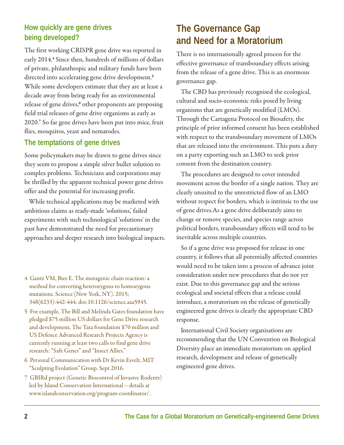#### **How quickly are gene drives being developed?**

The first working CRISPR gene drive was reported in early 2014.<sup>4</sup> Since then, hundreds of millions of dollars of private, philanthropic and military funds have been directed into accelerating gene drive development.<sup>5</sup> While some developers estimate that they are at least a decade away from being ready for an environmental release of gene drives,<sup>6</sup> other proponents are proposing field trial releases of gene drive organisms as early as 2020.<sup>7</sup> So far gene drives have been put into mice, fruit flies, mosquitos, yeast and nematodes.

#### **The temptations of gene drives**

Some policymakers may be drawn to gene drives since they seem to propose a simple silver bullet solution to complex problems. Technicians and corporations may be thrilled by the apparent technical power gene drives offer and the potential for increasing profit.

While technical applications may be marketed with ambitious claims as ready-made 'solutions,' failed experiments with such technological 'solutions' in the past have demonstrated the need for precautionary approaches and deeper research into biological impacts.

- 4 Gantz VM, Bier E. The mutagenic chain reaction: a method for converting heterozygous to homozygous mutations. Science (New York, NY). 2015; 348(6233):442-444. doi:10.1126/science.aaa5945.
- 5 For example, The Bill and Melinda Gates foundation have pledged \$75 million US dollars for Gene Drive research and development, The Tata foundation \$70 million and US Defence Advanced Research Projects Agency is currently running at least two calls to find gene drive research: "Safe Genes" and "Insect Allies."
- 6 Personal Communication with Dr Kevin Esvelt, MIT "Sculpting Evolution" Group. Sept 2016.
- 7 GBIRd project (Genetic Biocontrol of Invasive Rodents) led by Island Conservation International – details at www.islandconservation.org/program-coordinator/.

## **The Governance Gap and Need for a Moratorium**

There is no internationally agreed process for the effective governance of transboundary effects arising from the release of a gene drive. This is an enormous governance gap.

The CBD has previously recognised the ecological, cultural and socio-economic risks posed by living organisms that are genetically modified (LMOs). Through the Cartagena Protocol on Biosafety, the principle of prior informed consent has been established with respect to the transboundary movement of LMOs that are released into the environment. This puts a duty on a party exporting such an LMO to seek prior consent from the destination country.

The procedures are designed to cover intended movement across the border of a single nation. They are clearly unsuited to the unrestricted flow of an LMO without respect for borders, which is intrinsic to the use of gene drives.As a gene drive deliberately aims to change or remove species, and species range across political borders, transboundary effects will tend to be inevitable across multiple countries.

So if a gene drive was proposed for release in one country, it follows that all potentially affected countries would need to be taken into a process of advance joint consideration under new procedures that do not yet exist. Due to this governance gap and the serious ecological and societal effects that a release could introduce, a moratorium on the release of genetically engineered gene drives is clearly the appropriate CBD response.

International Civil Society organisations are recommending that the UN Convention on Biological Diversity place an immediate moratorium on applied research, development and release of genetically engineered gene drives.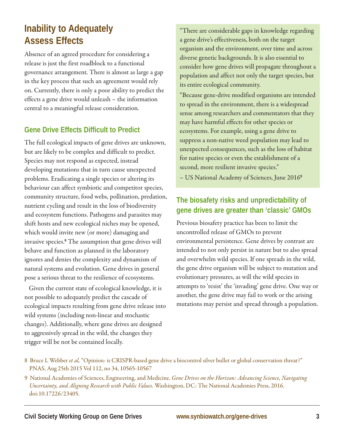## **Inability to Adequately Assess Effects**

Absence of an agreed procedure for considering a release is just the first roadblock to a functional governance arrangement. There is almost as large a gap in the key process that such an agreement would rely on. Currently, there is only a poor ability to predict the effects a gene drive would unleash – the information central to a meaningful release consideration.

#### **Gene Drive Effects Difficult to Predict**

The full ecological impacts of gene drives are unknown, but are likely to be complex and difficult to predict. Species may not respond as expected, instead developing mutations that in turn cause unexpected problems. Eradicating a single species or altering its behaviour can affect symbiotic and competitor species, community structure, food webs, pollination, predation, nutrient cycling and result in the loss of biodiversity and ecosystem functions. Pathogens and parasites may shift hosts and new ecological niches may be opened, which would invite new (or more) damaging and invasive species. <sup>8</sup> The assumption that gene drives will behave and function as planned in the laboratory ignores and denies the complexity and dynamism of natural systems and evolution. Gene drives in general pose a serious threat to the resilience of ecosystems.

Given the current state of ecological knowledge, it is not possible to adequately predict the cascade of ecological impacts resulting from gene drive release into wild systems (including non-linear and stochastic changes). Additionally, where gene drives are designed to aggressively spread in the wild, the changes they trigger will be not be contained locally.

"There are considerable gaps in knowledge regarding a gene drive's effectiveness, both on the target organism and the environment, over time and across diverse genetic backgrounds. It is also essential to consider how gene drives will propagate throughout a population and affect not only the target species, but its entire ecological community.

"Because gene-drive modified organisms are intended to spread in the environment, there is a widespread sense among researchers and commentators that they may have harmful effects for other species or ecosystems. For example, using a gene drive to suppress a non-native weed population may lead to unexpected consequences, such as the loss of habitat for native species or even the establishment of a second, more resilient invasive species."

– US National Academy of Sciences, June 2016<sup>9</sup>

## **The biosafety risks and unpredictability of gene drives are greater than 'classic' GMOs**

Previous biosafety practice has been to limit the uncontrolled release of GMOs to prevent environmental persistence. Gene drives by contrast are intended to not only persist in nature but to also spread and overwhelm wild species. If one spreads in the wild, the gene drive organism will be subject to mutation and evolutionary pressures, as will the wild species in attempts to 'resist' the 'invading' gene drive. One way or another, the gene drive may fail to work or the arising mutations may persist and spread through a population.

<sup>8</sup> Bruce L Webber *et al,* "Opinion: is CRISPR-based gene drive a biocontrol silver bullet or global conservation threat?" PNAS, Aug 25th 2015 Vol 112, no 34, 10565-10567

<sup>9</sup> National Academies of Sciences, Engineering, and Medicine. *Gene Drives on the Horizon: Advancing Science, Navigating Uncertainty, and Aligning Research with Public Values.* Washington, DC: The National Academies Press, 2016. doi:10.17226/23405.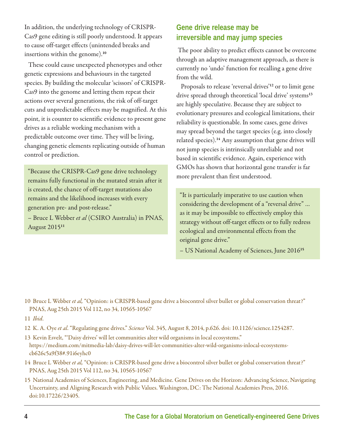In addition, the underlying technology of CRISPR-Cas9 gene editing is still poorly understood. It appears to cause off-target effects (unintended breaks and insertions within the genome).<sup>10</sup>

These could cause unexpected phenotypes and other genetic expressions and behaviours in the targeted species. By building the molecular 'scissors' of CRISPR-Cas9 into the genome and letting them repeat their actions over several generations, the risk of off-target cuts and unpredictable effects may be magnified. At this point, it is counter to scientific evidence to present gene drives as a reliable working mechanism with a predictable outcome over time. They will be living, changing genetic elements replicating outside of human control or prediction.

"Because the CRISPR-Cas9 gene drive technology remains fully functional in the mutated strain after it is created, the chance of off-target mutations also remains and the likelihood increases with every generation pre- and post-release."

– Bruce L Webber *et al* (CSIRO Australia) in PNAS, August 2015<sup>11</sup>

## **Gene drive release may be irreversible and may jump species**

The poor ability to predict effects cannot be overcome through an adaptive management approach, as there is currently no 'undo' function for recalling a gene drive from the wild.

Proposals to release 'reversal drives' <sup>12</sup> or to limit gene drive spread through theoretical 'local drive' systems<sup>13</sup> are highly speculative. Because they are subject to evolutionary pressures and ecological limitations, their reliability is questionable. In some cases, gene drives may spread beyond the target species (e.g. into closely related species).<sup>14</sup> Any assumption that gene drives will not jump species is intrinsically unreliable and not based in scientific evidence. Again, experience with GMOs has shown that horizontal gene transfer is far more prevalent than first understood.

"It is particularly imperative to use caution when considering the development of a "reversal drive" … as it may be impossible to effectively employ this strategy without off-target effects or to fully redress ecological and environmental effects from the original gene drive."

– US National Academy of Sciences, June 2016<sup>15</sup>

10 Bruce L Webber *et al,* "Opinion: is CRISPR-based gene drive a biocontrol silver bullet or global conservation threat?" PNAS, Aug 25th 2015 Vol 112, no 34, 10565-10567

11 *Ibid*.

- 12 K. A. Oye *et al*. "Regulating gene drives." *Science* Vol. 345, August 8, 2014, p.626. doi: 10.1126/science.1254287.
- 13 Kevin Esvelt, "'Daisy drives' will let communities alter wild organisms in local ecosystems." https://medium.com/mitmedia-lab/daisy-drives-will-let-communities-alter-wild-organisms-inlocal-ecosystemscb626c5a9f38#.91i6eyhc0
- 14 Bruce L Webber *et al,* "Opinion: is CRISPR-based gene drive a biocontrol silver bullet or global conservation threat?" PNAS, Aug 25th 2015 Vol 112, no 34, 10565-10567
- 15 National Academies of Sciences, Engineering, and Medicine. Gene Drives on the Horizon: Advancing Science, Navigating Uncertainty, and Aligning Research with Public Values. Washington, DC: The National Academies Press, 2016. doi:10.17226/23405.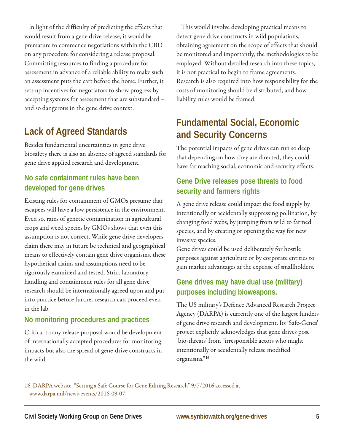In light of the difficulty of predicting the effects that would result from a gene drive release, it would be premature to commence negotiations within the CBD on any procedure for considering a release proposal. Committing resources to finding a procedure for assessment in advance of a reliable ability to make such an assessment puts the cart before the horse. Further, it sets up incentives for negotiators to show progress by accepting systems for assessment that are substandard – and so dangerous in the gene drive context.

## **Lack of Agreed Standards**

Besides fundamental uncertainties in gene drive biosafety there is also an absence of agreed standards for gene drive applied research and development.

## **No safe containment rules have been developed for gene drives**

Existing rules for containment of GMOs presume that escapees will have a low persistence in the environment. Even so, rates of genetic contamination in agricultural crops and weed species by GMOs shows that even this assumption is not correct. While gene drive developers claim there may in future be technical and geographical means to effectively contain gene drive organisms, these hypothetical claims and assumptions need to be rigorously examined and tested. Strict laboratory handling and containment rules for all gene drive research should be internationally agreed upon and put into practice before further research can proceed even in the lab.

#### **No monitoring procedures and practices**

Critical to any release proposal would be development of internationally accepted procedures for monitoring impacts but also the spread of gene-drive constructs in the wild.

This would involve developing practical means to detect gene drive constructs in wild populations, obtaining agreement on the scope of effects that should be monitored and importantly, the methodologies to be employed. Without detailed research into these topics, it is not practical to begin to frame agreements. Research is also required into how responsibility for the costs of monitoring should be distributed, and how liability rules would be framed.

# **Fundamental Social, Economic and Security Concerns**

The potential impacts of gene drives can run so deep that depending on how they are directed, they could have far reaching social, economic and security effects.

## **Gene Drive releases pose threats to food security and farmers rights**

A gene drive release could impact the food supply by intentionally or accidentally suppressing pollination, by changing food webs, by jumping from wild to farmed species, and by creating or opening the way for new invasive species.

Gene drives could be used deliberately for hostile purposes against agriculture or by corporate entities to gain market advantages at the expense of smallholders.

## **Gene drives may have dual use (military) purposes including bioweapons.**

The US military's Defence Advanced Research Project Agency (DARPA) is currently one of the largest funders of gene drive research and development. Its 'Safe-Genes' project explicitly acknowledges that gene drives pose 'bio-threats' from "irresponsible actors who might intentionally or accidentally release modified organisms."16

16 DARPA website, "Setting a Safe Course for Gene Editing Research" 9/7/2016 accessed at www.darpa.mil/news-events/2016-09-07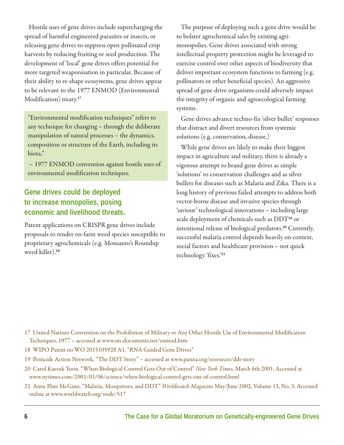Hostile uses of gene drives include supercharging the spread of harmful engineered parasites or insects, or releasing gene drives to suppress open pollinated crop harvests by reducing fruiting or seed production. The development of 'local' gene drives offers potential for more targeted weaponisation in particular. Because of their ability to re-shape ecosystems, gene drives appear to be relevant to the 1977 ENMOD (Environmental Modification) treaty.<sup>17</sup>

"Environmental modification techniques" refers to any technique for changing – through the deliberate manipulation of natural processes – the dynamics, composition or structure of the Earth, including its biota."

– 1977 ENMOD convention against hostile uses of environmental modification techniques.

## **Gene drives could be deployed to increase monopolies, posing economic and livelihood threats.**

Patent applications on CRISPR gene drives include proposals to render on-farm weed species susceptible to proprietary agrochemicals (e.g. Monsanto's Roundup weed killer).<sup>18</sup>

The purpose of deploying such a gene drive would be to bolster agrochemical sales by existing agrimonopolies. Gene drives associated with strong intellectual property protection might be leveraged to exercise control over other aspects of biodiversity that deliver important ecosystem functions to farming (e.g. pollinators or other beneficial species). An aggressive spread of gene drive organisms could adversely impact the integrity of organic and agroecological farming systems.

Gene drives advance techno-fix 'silver bullet' responses that distract and divert resources from systemic solutions (e.g. conservation, disease.)

While gene drives are likely to make their biggest impact in agriculture and military, there is already a vigorous attempt to brand gene drives as simple 'solutions' to conservation challenges and as silver bullets for diseases such as Malaria and Zika. There is a long history of previous failed attempts to address both vector-borne disease and invasive species through 'saviour' technological innovations – including large scale deployment of chemicals such as DDT<sup>19</sup> or intentional release of biological predators. <sup>20</sup> Currently, successful malaria control depends heavily on context, social factors and healthcare provision – not quick technology 'fixes.'<sup>21</sup>

- 17 United Nations Convention on the Prohibition of Military or Any Other Hostile Use of Environmental Modification Techniques, 1977 – accessed at www.un-documents.net/enmod.htm
- 18 WIPO Patent no WO 2015105928 A1, "RNA Guided Gene Drives"
- 19 Pesticide Action Network, "The DDT Story" accessed at www.panna.org/resources/ddt-story
- 20 Carol Kaesuk Yoon, "When Biological Control Gets Out of Control" *New York Times,* March 6th 2001. Accessed at www.nytimes.com/2001/03/06/science/when-biological-control-gets-out-of-control.html
- 21 Anne Platt McGinn. "Malaria, Mosquitoes, and DDT" *Worldwatch Magazine* May/June 2002, Volume 15, No. 3. Accessed online at www.worldwatch.org/node/517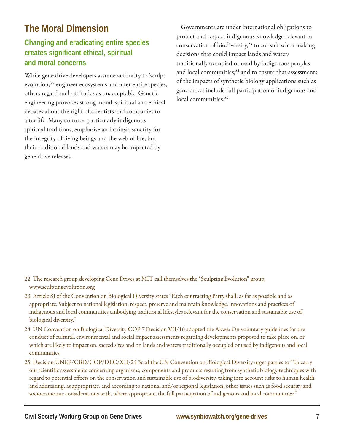# **The Moral Dimension**

## **Changing and eradicating entire species creates significant ethical, spiritual and moral concerns**

While gene drive developers assume authority to 'sculpt evolution,' <sup>22</sup> engineer ecosystems and alter entire species, others regard such attitudes as unacceptable. Genetic engineering provokes strong moral, spiritual and ethical debates about the right of scientists and companies to alter life. Many cultures, particularly indigenous spiritual traditions, emphasise an intrinsic sanctity for the integrity of living beings and the web of life, but their traditional lands and waters may be impacted by gene drive releases.

Governments are under international obligations to protect and respect indigenous knowledge relevant to conservation of biodiversity,<sup>23</sup> to consult when making decisions that could impact lands and waters traditionally occupied or used by indigenous peoples and local communities,<sup>24</sup> and to ensure that assessments of the impacts of synthetic biology applications such as gene drives include full participation of indigenous and local communities. 25

- 22 The research group developing Gene Drives at MIT call themselves the "Sculpting Evolution" group. www.sculptingevolution.org
- 23 Article 8J of the Convention on Biological Diversity states "Each contracting Party shall, as far as possible and as appropriate, Subject to national legislation, respect, preserve and maintain knowledge, innovations and practices of indigenous and local communities embodying traditional lifestyles relevant for the conservation and sustainable use of biological diversity."
- 24 UN Convention on Biological Diversity COP 7 Decision VII/16 adopted the Akwé: On voluntary guidelines for the conduct of cultural, environmental and social impact assessments regarding developments proposed to take place on, or which are likely to impact on, sacred sites and on lands and waters traditionally occupied or used by indigenous and local communities.
- 25 Decision UNEP/CBD/COP/DEC/XII/24 3c of the UN Convention on Biological Diversity urges parties to "To carry out scientific assessments concerning organisms, components and products resulting from synthetic biology techniques with regard to potential effects on the conservation and sustainable use of biodiversity, taking into account risks to human health and addressing, as appropriate, and according to national and/or regional legislation, other issues such as food security and socioeconomic considerations with, where appropriate, the full participation of indigenous and local communities;"